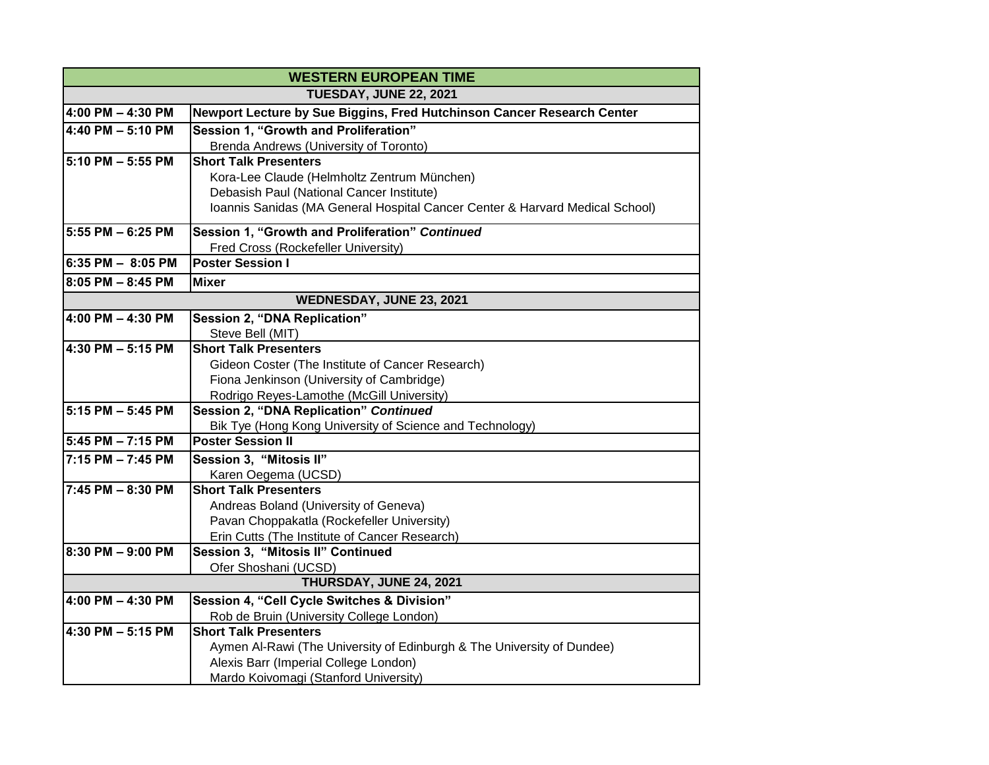| <b>WESTERN EUROPEAN TIME</b> |                                                                                    |
|------------------------------|------------------------------------------------------------------------------------|
| TUESDAY, JUNE 22, 2021       |                                                                                    |
| 4:00 PM - 4:30 PM            | Newport Lecture by Sue Biggins, Fred Hutchinson Cancer Research Center             |
| 4:40 PM - 5:10 PM            | Session 1, "Growth and Proliferation"                                              |
|                              | Brenda Andrews (University of Toronto)                                             |
| 5:10 PM - 5:55 PM            | <b>Short Talk Presenters</b>                                                       |
|                              | Kora-Lee Claude (Helmholtz Zentrum München)                                        |
|                              | Debasish Paul (National Cancer Institute)                                          |
|                              | Ioannis Sanidas (MA General Hospital Cancer Center & Harvard Medical School)       |
| 5:55 PM - 6:25 PM            | Session 1, "Growth and Proliferation" Continued                                    |
|                              | Fred Cross (Rockefeller University)                                                |
| 6:35 PM - 8:05 PM            | <b>Poster Session I</b>                                                            |
| 8:05 PM - 8:45 PM            | <b>Mixer</b>                                                                       |
| WEDNESDAY, JUNE 23, 2021     |                                                                                    |
| 4:00 PM - 4:30 PM            | Session 2, "DNA Replication"                                                       |
|                              | Steve Bell (MIT)                                                                   |
| 4:30 PM - 5:15 PM            | <b>Short Talk Presenters</b>                                                       |
|                              | Gideon Coster (The Institute of Cancer Research)                                   |
|                              | Fiona Jenkinson (University of Cambridge)                                          |
|                              | Rodrigo Reyes-Lamothe (McGill University)                                          |
| 5:15 PM - 5:45 PM            | Session 2, "DNA Replication" Continued                                             |
|                              | Bik Tye (Hong Kong University of Science and Technology)                           |
| 5:45 PM - 7:15 PM            | <b>Poster Session II</b>                                                           |
| $7:15$ PM $-7:45$ PM         | Session 3, "Mitosis II"                                                            |
|                              | Karen Oegema (UCSD)                                                                |
| 7:45 PM - 8:30 PM            | <b>Short Talk Presenters</b>                                                       |
|                              | Andreas Boland (University of Geneva)                                              |
|                              | Pavan Choppakatla (Rockefeller University)                                         |
| 8:30 PM - 9:00 PM            | Erin Cutts (The Institute of Cancer Research)<br>Session 3, "Mitosis II" Continued |
|                              | Ofer Shoshani (UCSD)                                                               |
|                              | THURSDAY, JUNE 24, 2021                                                            |
| 4:00 PM - 4:30 PM            | Session 4, "Cell Cycle Switches & Division"                                        |
|                              | Rob de Bruin (University College London)                                           |
| 4:30 PM - 5:15 PM            | <b>Short Talk Presenters</b>                                                       |
|                              | Aymen Al-Rawi (The University of Edinburgh & The University of Dundee)             |
|                              | Alexis Barr (Imperial College London)                                              |
|                              | Mardo Koivomagi (Stanford University)                                              |